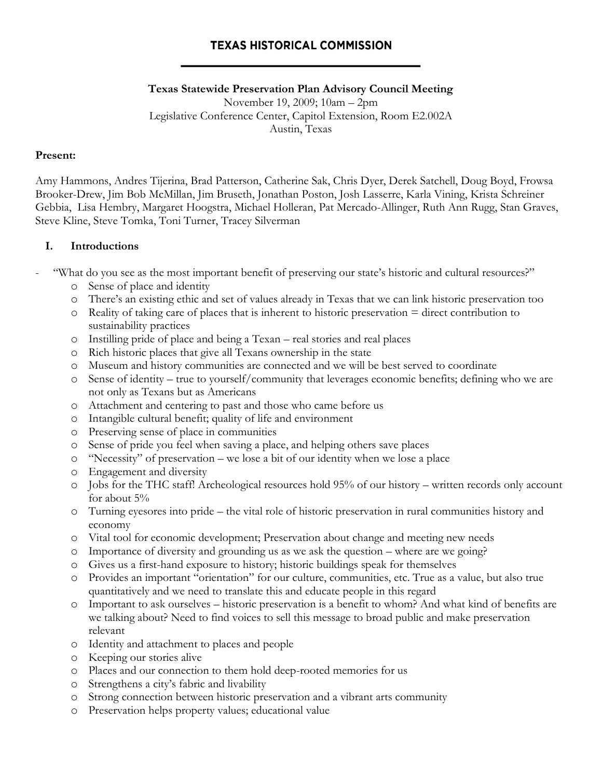## **TEXAS HISTORICAL COMMISSION**

**Texas Statewide Preservation Plan Advisory Council Meeting**

November 19, 2009; 10am – 2pm Legislative Conference Center, Capitol Extension, Room E2.002A Austin, Texas

#### **Present:**

Amy Hammons, Andres Tijerina, Brad Patterson, Catherine Sak, Chris Dyer, Derek Satchell, Doug Boyd, Frowsa Brooker-Drew, Jim Bob McMillan, Jim Bruseth, Jonathan Poston, Josh Lasserre, Karla Vining, Krista Schreiner Gebbia, Lisa Hembry, Margaret Hoogstra, Michael Holleran, Pat Mercado-Allinger, Ruth Ann Rugg, Stan Graves, Steve Kline, Steve Tomka, Toni Turner, Tracey Silverman

#### **I. Introductions**

- "What do you see as the most important benefit of preserving our state's historic and cultural resources?"
	- o Sense of place and identity
	- o There's an existing ethic and set of values already in Texas that we can link historic preservation too
	- o Reality of taking care of places that is inherent to historic preservation = direct contribution to sustainability practices
	- o Instilling pride of place and being a Texan real stories and real places
	- o Rich historic places that give all Texans ownership in the state
	- o Museum and history communities are connected and we will be best served to coordinate
	- o Sense of identity true to yourself/community that leverages economic benefits; defining who we are not only as Texans but as Americans
	- o Attachment and centering to past and those who came before us
	- o Intangible cultural benefit; quality of life and environment
	- o Preserving sense of place in communities
	- o Sense of pride you feel when saving a place, and helping others save places
	- o "Necessity" of preservation we lose a bit of our identity when we lose a place
	- o Engagement and diversity
	- o Jobs for the THC staff! Archeological resources hold 95% of our history written records only account for about 5%
	- o Turning eyesores into pride the vital role of historic preservation in rural communities history and economy
	- o Vital tool for economic development; Preservation about change and meeting new needs
	- o Importance of diversity and grounding us as we ask the question where are we going?
	- o Gives us a first-hand exposure to history; historic buildings speak for themselves
	- o Provides an important "orientation" for our culture, communities, etc. True as a value, but also true quantitatively and we need to translate this and educate people in this regard
	- o Important to ask ourselves historic preservation is a benefit to whom? And what kind of benefits are we talking about? Need to find voices to sell this message to broad public and make preservation relevant
	- o Identity and attachment to places and people
	- o Keeping our stories alive
	- o Places and our connection to them hold deep-rooted memories for us
	- o Strengthens a city's fabric and livability
	- o Strong connection between historic preservation and a vibrant arts community
	- o Preservation helps property values; educational value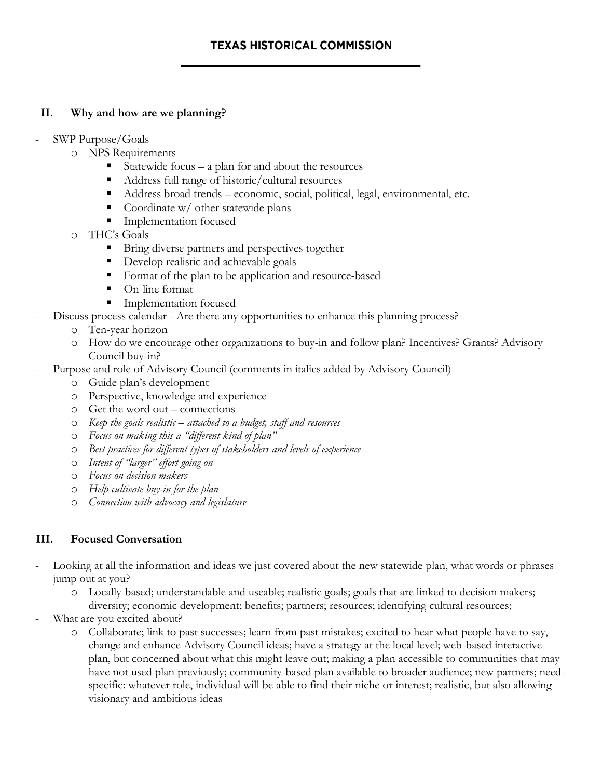## **TEXAS HISTORICAL COMMISSION**

#### **II. Why and how are we planning?**

- SWP Purpose/Goals
	- o NPS Requirements
		- Statewide focus a plan for and about the resources
		- Address full range of historic/cultural resources
		- Address broad trends economic, social, political, legal, environmental, etc.
		- Coordinate  $w/$  other statewide plans
		- **Implementation focused**
	- o THC's Goals
		- Bring diverse partners and perspectives together
		- Develop realistic and achievable goals
		- Format of the plan to be application and resource-based
		- On-line format
		- **Implementation focused**
- Discuss process calendar Are there any opportunities to enhance this planning process?
	- o Ten-year horizon
	- o How do we encourage other organizations to buy-in and follow plan? Incentives? Grants? Advisory Council buy-in?
- Purpose and role of Advisory Council (comments in italics added by Advisory Council)
	- o Guide plan's development
	- o Perspective, knowledge and experience
	- o Get the word out connections
	- o *Keep the goals realistic – attached to a budget, staff and resources*
	- o *Focus on making this a "different kind of plan"*
	- o *Best practices for different types of stakeholders and levels of experience*
	- o *Intent of "larger" effort going on*
	- o *Focus on decision makers*
	- o *Help cultivate buy-in for the plan*
	- o *Connection with advocacy and legislature*

### **III. Focused Conversation**

- Looking at all the information and ideas we just covered about the new statewide plan, what words or phrases jump out at you?
	- o Locally-based; understandable and useable; realistic goals; goals that are linked to decision makers; diversity; economic development; benefits; partners; resources; identifying cultural resources;
- What are you excited about?
	- o Collaborate; link to past successes; learn from past mistakes; excited to hear what people have to say, change and enhance Advisory Council ideas; have a strategy at the local level; web-based interactive plan, but concerned about what this might leave out; making a plan accessible to communities that may have not used plan previously; community-based plan available to broader audience; new partners; needspecific: whatever role, individual will be able to find their niche or interest; realistic, but also allowing visionary and ambitious ideas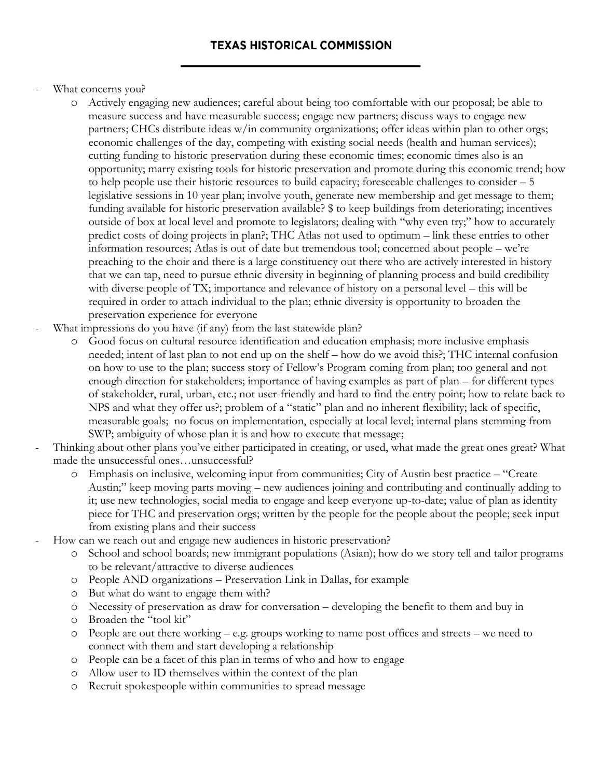- What concerns you?
	- o Actively engaging new audiences; careful about being too comfortable with our proposal; be able to measure success and have measurable success; engage new partners; discuss ways to engage new partners; CHCs distribute ideas w/in community organizations; offer ideas within plan to other orgs; economic challenges of the day, competing with existing social needs (health and human services); cutting funding to historic preservation during these economic times; economic times also is an opportunity; marry existing tools for historic preservation and promote during this economic trend; how to help people use their historic resources to build capacity; foreseeable challenges to consider – 5 legislative sessions in 10 year plan; involve youth, generate new membership and get message to them; funding available for historic preservation available? \$ to keep buildings from deteriorating; incentives outside of box at local level and promote to legislators; dealing with "why even try;" how to accurately predict costs of doing projects in plan?; THC Atlas not used to optimum – link these entries to other information resources; Atlas is out of date but tremendous tool; concerned about people – we're preaching to the choir and there is a large constituency out there who are actively interested in history that we can tap, need to pursue ethnic diversity in beginning of planning process and build credibility with diverse people of TX; importance and relevance of history on a personal level – this will be required in order to attach individual to the plan; ethnic diversity is opportunity to broaden the preservation experience for everyone
- What impressions do you have (if any) from the last statewide plan?
	- o Good focus on cultural resource identification and education emphasis; more inclusive emphasis needed; intent of last plan to not end up on the shelf – how do we avoid this?; THC internal confusion on how to use to the plan; success story of Fellow's Program coming from plan; too general and not enough direction for stakeholders; importance of having examples as part of plan – for different types of stakeholder, rural, urban, etc.; not user-friendly and hard to find the entry point; how to relate back to NPS and what they offer us?; problem of a "static" plan and no inherent flexibility; lack of specific, measurable goals; no focus on implementation, especially at local level; internal plans stemming from SWP; ambiguity of whose plan it is and how to execute that message;
- Thinking about other plans you've either participated in creating, or used, what made the great ones great? What made the unsuccessful ones...unsuccessful?
	- Emphasis on inclusive, welcoming input from communities; City of Austin best practice "Create" Austin;" keep moving parts moving – new audiences joining and contributing and continually adding to it; use new technologies, social media to engage and keep everyone up-to-date; value of plan as identity piece for THC and preservation orgs; written by the people for the people about the people; seek input from existing plans and their success
- How can we reach out and engage new audiences in historic preservation?
	- o School and school boards; new immigrant populations (Asian); how do we story tell and tailor programs to be relevant/attractive to diverse audiences
	- o People AND organizations Preservation Link in Dallas, for example
	- o But what do want to engage them with?
	- o Necessity of preservation as draw for conversation developing the benefit to them and buy in
	- o Broaden the "tool kit"
	- o People are out there working e.g. groups working to name post offices and streets we need to connect with them and start developing a relationship
	- o People can be a facet of this plan in terms of who and how to engage
	- o Allow user to ID themselves within the context of the plan
	- o Recruit spokespeople within communities to spread message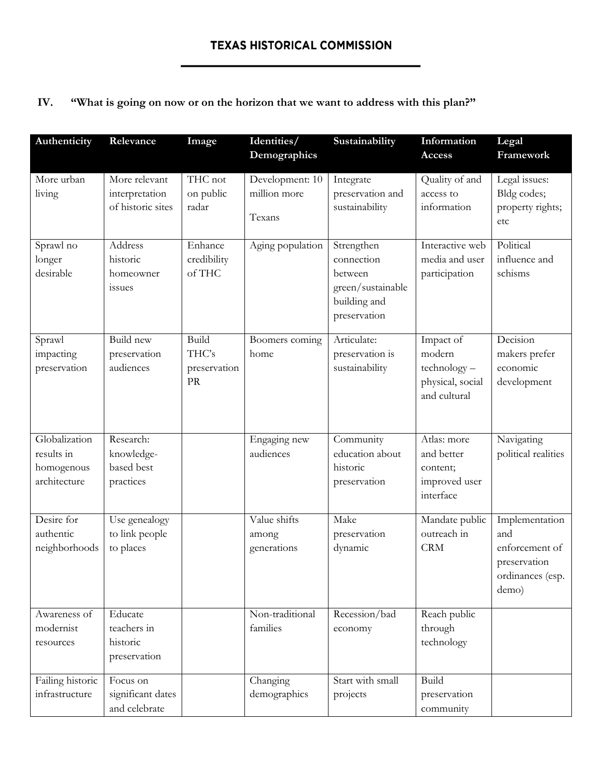# **IV. "What is going on now or on the horizon that we want to address with this plan?"**

| Authenticity                                              | Relevance                                            | Image                                       | Identities/<br>Demographics               | Sustainability                                                                           | Information<br>Access                                                  | Legal<br>Framework                                                                   |
|-----------------------------------------------------------|------------------------------------------------------|---------------------------------------------|-------------------------------------------|------------------------------------------------------------------------------------------|------------------------------------------------------------------------|--------------------------------------------------------------------------------------|
| More urban<br>living                                      | More relevant<br>interpretation<br>of historic sites | THC not<br>on public<br>radar               | Development: 10<br>million more<br>Texans | Integrate<br>preservation and<br>sustainability                                          | Quality of and<br>access to<br>information                             | Legal issues:<br>Bldg codes;<br>property rights;<br>etc                              |
| Sprawl no<br>longer<br>desirable                          | Address<br>historic<br>homeowner<br><i>ssues</i>     | Enhance<br>credibility<br>of THC            | Aging population                          | Strengthen<br>connection<br>between<br>green/sustainable<br>building and<br>preservation | Interactive web<br>media and user<br>participation                     | Political<br>influence and<br>schisms                                                |
| Sprawl<br>impacting<br>preservation                       | Build new<br>preservation<br>audiences               | <b>Build</b><br>THC's<br>preservation<br>PR | Boomers coming<br>home                    | Articulate:<br>preservation is<br>sustainability                                         | Impact of<br>modern<br>technology-<br>physical, social<br>and cultural | Decision<br>makers prefer<br>economic<br>development                                 |
| Globalization<br>results in<br>homogenous<br>architecture | Research:<br>knowledge-<br>based best<br>practices   |                                             | Engaging new<br>audiences                 | Community<br>education about<br>historic<br>preservation                                 | Atlas: more<br>and better<br>content;<br>improved user<br>interface    | Navigating<br>political realities                                                    |
| Desire for<br>authentic<br>neighborhoods                  | Use genealogy<br>to link people<br>to places         |                                             | Value shifts<br>among<br>generations      | Make<br>preservation<br>dynamic                                                          | Mandate public<br>outreach in<br><b>CRM</b>                            | Implementation<br>and<br>enforcement of<br>preservation<br>ordinances (esp.<br>demo) |
| Awareness of<br>modernist<br>resources                    | Educate<br>teachers in<br>historic<br>preservation   |                                             | Non-traditional<br>families               | Recession/bad<br>economy                                                                 | Reach public<br>through<br>technology                                  |                                                                                      |
| Failing historic<br>infrastructure                        | Focus on<br>significant dates<br>and celebrate       |                                             | Changing<br>demographics                  | Start with small<br>projects                                                             | Build<br>preservation<br>community                                     |                                                                                      |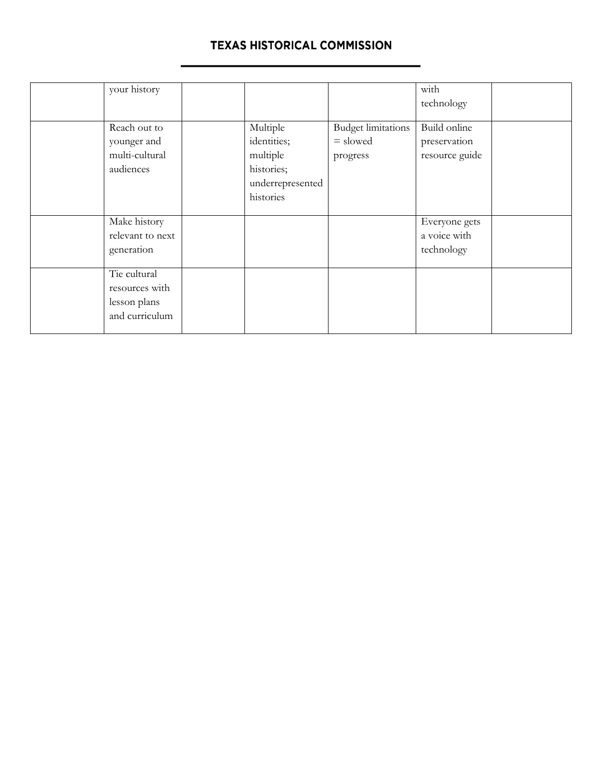# **TEXAS HISTORICAL COMMISSION**

| your history     |                  |                           | with           |
|------------------|------------------|---------------------------|----------------|
|                  |                  |                           | technology     |
|                  |                  |                           |                |
| Reach out to     | Multiple         | <b>Budget limitations</b> | Build online   |
| younger and      | identities;      | $=$ slowed                | preservation   |
| multi-cultural   | multiple         | progress                  | resource guide |
| audiences        | histories;       |                           |                |
|                  | underrepresented |                           |                |
|                  | histories        |                           |                |
|                  |                  |                           |                |
| Make history     |                  |                           | Everyone gets  |
| relevant to next |                  |                           | a voice with   |
| generation       |                  |                           | technology     |
|                  |                  |                           |                |
| Tie cultural     |                  |                           |                |
| resources with   |                  |                           |                |
| lesson plans     |                  |                           |                |
| and curriculum   |                  |                           |                |
|                  |                  |                           |                |